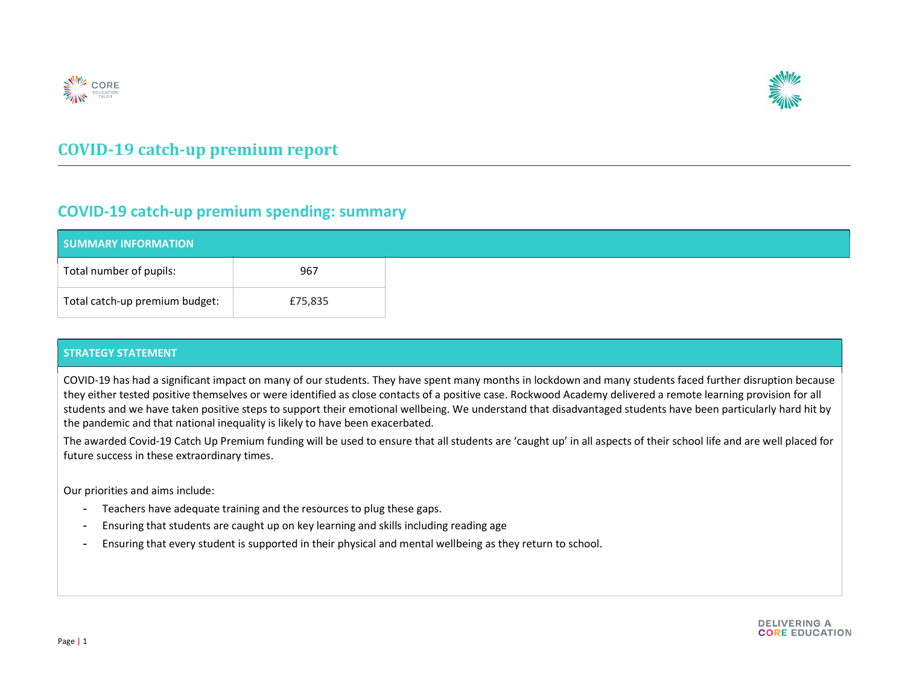



## COVID-19 catch-up premium report

### COVID-19 catch-up premium spending: summary

| <b>SUMMARY INFORMATION</b>     |         |  |  |
|--------------------------------|---------|--|--|
| Total number of pupils:        | 967     |  |  |
| Total catch-up premium budget: | £75,835 |  |  |

#### STRATEGY STATEMENT

COVID-19 has had a significant impact on many of our students. They have spent many months in lockdown and many students faced further disruption because they either tested positive themselves or were identified as close contacts of a positive case. Rockwood Academy delivered a remote learning provision for all students and we have taken positive steps to support their emotional wellbeing. We understand that disadvantaged students have been particularly hard hit by the pandemic and that national inequality is likely to have been exacerbated.

The awarded Covid-19 Catch Up Premium funding will be used to ensure that all students are 'caught up' in all aspects of their school life and are well placed for future success in these extraordinary times.

Our priorities and aims include:

- Teachers have adequate training and the resources to plug these gaps.
- Ensuring that students are caught up on key learning and skills including reading age
- Ensuring that every student is supported in their physical and mental wellbeing as they return to school.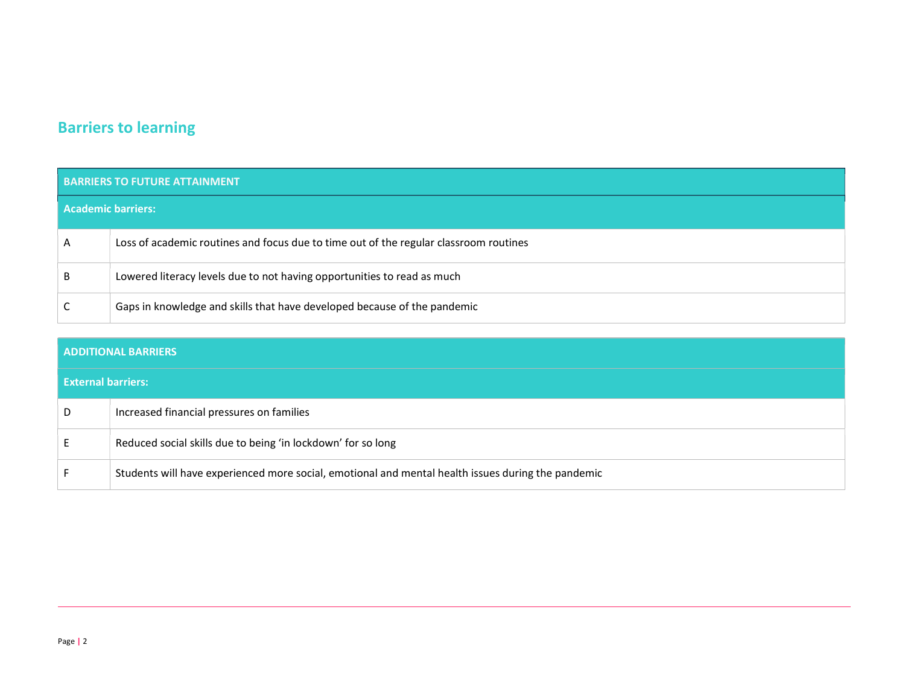# Barriers to learning

| <b>BARRIERS TO FUTURE ATTAINMENT</b> |                                                                                       |  |  |  |
|--------------------------------------|---------------------------------------------------------------------------------------|--|--|--|
| <b>Academic barriers:</b>            |                                                                                       |  |  |  |
| A                                    | Loss of academic routines and focus due to time out of the regular classroom routines |  |  |  |
| B                                    | Lowered literacy levels due to not having opportunities to read as much               |  |  |  |
|                                      | Gaps in knowledge and skills that have developed because of the pandemic              |  |  |  |

| <b>ADDITIONAL BARRIERS</b> |                                                                                                    |  |  |  |
|----------------------------|----------------------------------------------------------------------------------------------------|--|--|--|
| <b>External barriers:</b>  |                                                                                                    |  |  |  |
| D                          | Increased financial pressures on families                                                          |  |  |  |
|                            | Reduced social skills due to being 'in lockdown' for so long                                       |  |  |  |
|                            | Students will have experienced more social, emotional and mental health issues during the pandemic |  |  |  |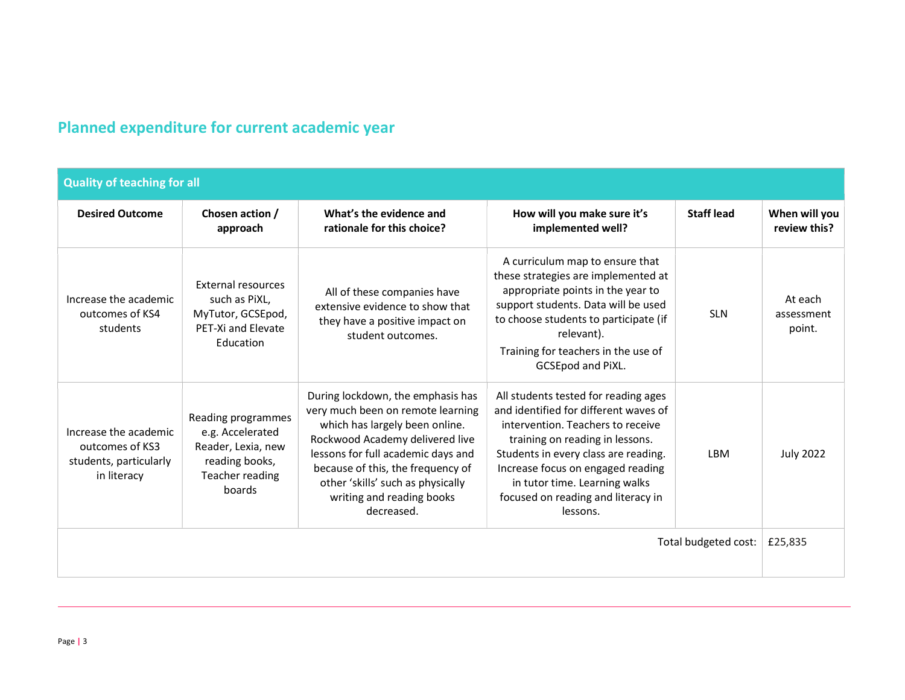# Planned expenditure for current academic year

| <b>Quality of teaching for all</b>                                                |                                                                                                             |                                                                                                                                                                                                                                                                                                        |                                                                                                                                                                                                                                                                                                                       |                   |                                 |  |
|-----------------------------------------------------------------------------------|-------------------------------------------------------------------------------------------------------------|--------------------------------------------------------------------------------------------------------------------------------------------------------------------------------------------------------------------------------------------------------------------------------------------------------|-----------------------------------------------------------------------------------------------------------------------------------------------------------------------------------------------------------------------------------------------------------------------------------------------------------------------|-------------------|---------------------------------|--|
| <b>Desired Outcome</b>                                                            | Chosen action /<br>approach                                                                                 | What's the evidence and<br>rationale for this choice?                                                                                                                                                                                                                                                  | How will you make sure it's<br>implemented well?                                                                                                                                                                                                                                                                      | <b>Staff lead</b> | When will you<br>review this?   |  |
| Increase the academic<br>outcomes of KS4<br>students                              | <b>External resources</b><br>such as PiXL,<br>MyTutor, GCSEpod,<br>PET-Xi and Elevate<br>Education          | All of these companies have<br>extensive evidence to show that<br>they have a positive impact on<br>student outcomes.                                                                                                                                                                                  | A curriculum map to ensure that<br>these strategies are implemented at<br>appropriate points in the year to<br>support students. Data will be used<br>to choose students to participate (if<br>relevant).<br>Training for teachers in the use of<br><b>GCSEpod and PiXL.</b>                                          | <b>SLN</b>        | At each<br>assessment<br>point. |  |
| Increase the academic<br>outcomes of KS3<br>students, particularly<br>in literacy | Reading programmes<br>e.g. Accelerated<br>Reader, Lexia, new<br>reading books,<br>Teacher reading<br>boards | During lockdown, the emphasis has<br>very much been on remote learning<br>which has largely been online.<br>Rockwood Academy delivered live<br>lessons for full academic days and<br>because of this, the frequency of<br>other 'skills' such as physically<br>writing and reading books<br>decreased. | All students tested for reading ages<br>and identified for different waves of<br>intervention. Teachers to receive<br>training on reading in lessons.<br>Students in every class are reading.<br>Increase focus on engaged reading<br>in tutor time. Learning walks<br>focused on reading and literacy in<br>lessons. | <b>IBM</b>        | <b>July 2022</b>                |  |
| Total budgeted cost:                                                              |                                                                                                             |                                                                                                                                                                                                                                                                                                        |                                                                                                                                                                                                                                                                                                                       | £25,835           |                                 |  |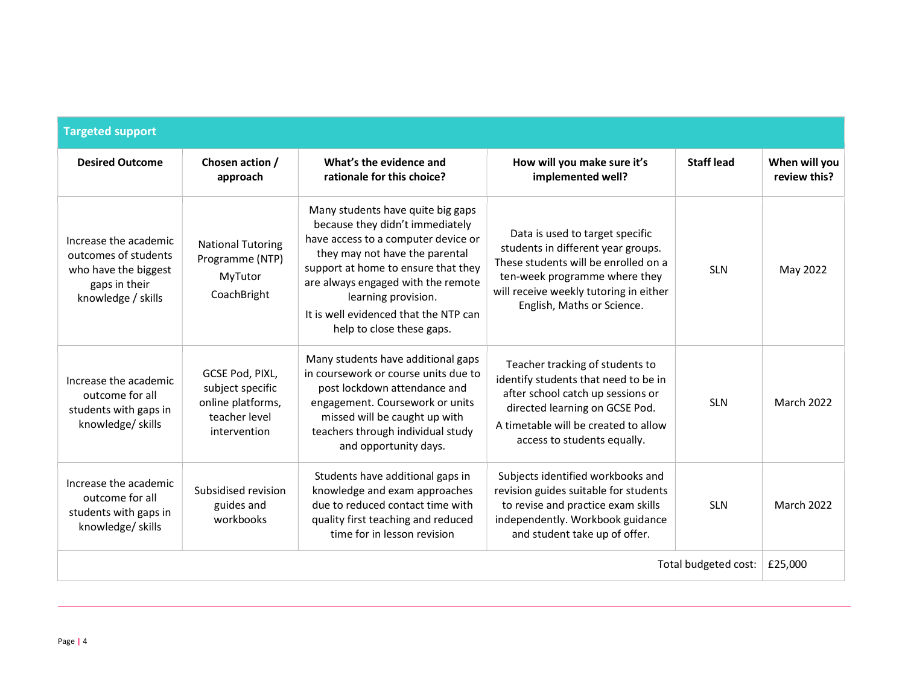| <b>Targeted support</b>                                                                                      |                                                                                           |                                                                                                                                                                                                                                                                                                                         |                                                                                                                                                                                                                        |                   |                               |  |
|--------------------------------------------------------------------------------------------------------------|-------------------------------------------------------------------------------------------|-------------------------------------------------------------------------------------------------------------------------------------------------------------------------------------------------------------------------------------------------------------------------------------------------------------------------|------------------------------------------------------------------------------------------------------------------------------------------------------------------------------------------------------------------------|-------------------|-------------------------------|--|
| <b>Desired Outcome</b>                                                                                       | Chosen action /<br>approach                                                               | What's the evidence and<br>rationale for this choice?                                                                                                                                                                                                                                                                   | How will you make sure it's<br>implemented well?                                                                                                                                                                       | <b>Staff lead</b> | When will you<br>review this? |  |
| Increase the academic<br>outcomes of students<br>who have the biggest<br>gaps in their<br>knowledge / skills | <b>National Tutoring</b><br>Programme (NTP)<br>MyTutor<br>CoachBright                     | Many students have quite big gaps<br>because they didn't immediately<br>have access to a computer device or<br>they may not have the parental<br>support at home to ensure that they<br>are always engaged with the remote<br>learning provision.<br>It is well evidenced that the NTP can<br>help to close these gaps. | Data is used to target specific<br>students in different year groups.<br>These students will be enrolled on a<br>ten-week programme where they<br>will receive weekly tutoring in either<br>English, Maths or Science. | <b>SLN</b>        | May 2022                      |  |
| Increase the academic<br>outcome for all<br>students with gaps in<br>knowledge/ skills                       | GCSE Pod, PIXL,<br>subject specific<br>online platforms,<br>teacher level<br>intervention | Many students have additional gaps<br>in coursework or course units due to<br>post lockdown attendance and<br>engagement. Coursework or units<br>missed will be caught up with<br>teachers through individual study<br>and opportunity days.                                                                            | Teacher tracking of students to<br>identify students that need to be in<br>after school catch up sessions or<br>directed learning on GCSE Pod.<br>A timetable will be created to allow<br>access to students equally.  | <b>SLN</b>        | <b>March 2022</b>             |  |
| Increase the academic<br>outcome for all<br>students with gaps in<br>knowledge/skills                        | Subsidised revision<br>guides and<br>workbooks                                            | Students have additional gaps in<br>knowledge and exam approaches<br>due to reduced contact time with<br>quality first teaching and reduced<br>time for in lesson revision                                                                                                                                              | Subjects identified workbooks and<br>revision guides suitable for students<br>to revise and practice exam skills<br>independently. Workbook guidance<br>and student take up of offer.                                  | <b>SLN</b>        | <b>March 2022</b>             |  |
| Total budgeted cost:                                                                                         |                                                                                           |                                                                                                                                                                                                                                                                                                                         |                                                                                                                                                                                                                        | £25,000           |                               |  |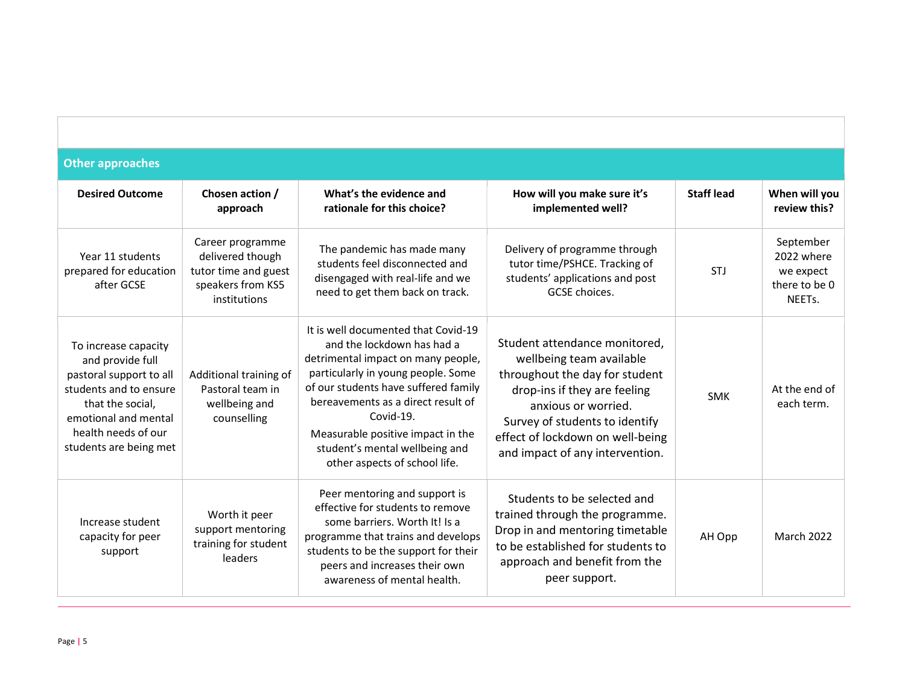| <b>Other approaches</b>                                                                                                                                                                    |                                                                                                   |                                                                                                                                                                                                                                                                                                                                                  |                                                                                                                                                                                                                                                             |                   |                                                                              |  |  |
|--------------------------------------------------------------------------------------------------------------------------------------------------------------------------------------------|---------------------------------------------------------------------------------------------------|--------------------------------------------------------------------------------------------------------------------------------------------------------------------------------------------------------------------------------------------------------------------------------------------------------------------------------------------------|-------------------------------------------------------------------------------------------------------------------------------------------------------------------------------------------------------------------------------------------------------------|-------------------|------------------------------------------------------------------------------|--|--|
| <b>Desired Outcome</b>                                                                                                                                                                     | Chosen action /<br>approach                                                                       | What's the evidence and<br>rationale for this choice?                                                                                                                                                                                                                                                                                            | How will you make sure it's<br>implemented well?                                                                                                                                                                                                            | <b>Staff lead</b> | When will you<br>review this?                                                |  |  |
| Year 11 students<br>prepared for education<br>after GCSE                                                                                                                                   | Career programme<br>delivered though<br>tutor time and guest<br>speakers from KS5<br>institutions | The pandemic has made many<br>students feel disconnected and<br>disengaged with real-life and we<br>need to get them back on track.                                                                                                                                                                                                              | Delivery of programme through<br>tutor time/PSHCE. Tracking of<br>students' applications and post<br>GCSE choices.                                                                                                                                          | STJ               | September<br>2022 where<br>we expect<br>there to be 0<br>NEET <sub>s</sub> . |  |  |
| To increase capacity<br>and provide full<br>pastoral support to all<br>students and to ensure<br>that the social,<br>emotional and mental<br>health needs of our<br>students are being met | Additional training of<br>Pastoral team in<br>wellbeing and<br>counselling                        | It is well documented that Covid-19<br>and the lockdown has had a<br>detrimental impact on many people,<br>particularly in young people. Some<br>of our students have suffered family<br>bereavements as a direct result of<br>Covid-19.<br>Measurable positive impact in the<br>student's mental wellbeing and<br>other aspects of school life. | Student attendance monitored,<br>wellbeing team available<br>throughout the day for student<br>drop-ins if they are feeling<br>anxious or worried.<br>Survey of students to identify<br>effect of lockdown on well-being<br>and impact of any intervention. | <b>SMK</b>        | At the end of<br>each term.                                                  |  |  |
| Increase student<br>capacity for peer<br>support                                                                                                                                           | Worth it peer<br>support mentoring<br>training for student<br>leaders                             | Peer mentoring and support is<br>effective for students to remove<br>some barriers. Worth It! Is a<br>programme that trains and develops<br>students to be the support for their<br>peers and increases their own<br>awareness of mental health.                                                                                                 | Students to be selected and<br>trained through the programme.<br>Drop in and mentoring timetable<br>to be established for students to<br>approach and benefit from the<br>peer support.                                                                     | AH Opp            | March 2022                                                                   |  |  |